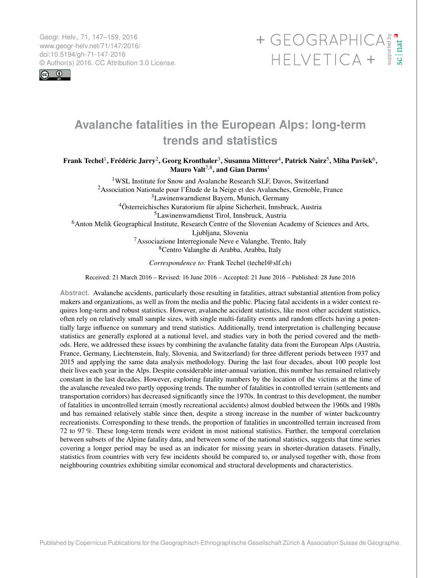<span id="page-0-1"></span>Geogr. Helv., 71, 147–159, 2016 www.geogr-helv.net/71/147/2016/ doi:10.5194/gh-71-147-2016<br>© Author(s) 2016. CC Attribution 3.0 License.



# $\begin{array}{cccc}\n+ \text{GEOGRAPHICA} & \text{F}_\text{B} & \text{F}_\text{B} \\
+ \text{GEOGRAPHICA} & + \text{F}_\text{B} & \text{F}_\text{B} \\
+ \text{HELVETICA} & + \text{F}_\text{B} & \text{F}_\text{B}\n\end{array}$

# **Avalanche fatalities in the European Alps: long-term trends and statistics**

Frank Techel<sup>[1](#page-0-0)</sup>, Frédéric Jarry<sup>[2](#page-0-0)</sup>, Georg Kronthaler<sup>[3](#page-0-0)</sup>, Susanna Mitterer<sup>[4](#page-0-0)</sup>, Patrick Nairz<sup>[5](#page-0-0)</sup>, Miha Pavšek<sup>[6](#page-0-0)</sup>, Mauro Valt $^{7,8},$  $^{7,8},$  $^{7,8},$  and Gian Darms $^1$  $^1$ 

WSL Institute for Snow and Avalanche Research SLF, Davos, Switzerland Association Nationale pour l'Étude de la Neige et des Avalanches, Grenoble, France Lawinenwarndienst Bayern, Munich, Germany Österreichisches Kuratorium für alpine Sicherheit, Innsbruck, Austria Lawinenwarndienst Tirol, Innsbruck, Austria Anton Melik Geographical Institute, Research Centre of the Slovenian Academy of Sciences and Arts, Ljubljana, Slovenia Associazione Interregionale Neve e Valanghe, Trento, Italy Centro Valanghe di Arabba, Arabba, Italy

*Correspondence to:* Frank Techel (techel@slf.ch)

Received: 21 March 2016 – Revised: 16 June 2016 – Accepted: 21 June 2016 – Published: 28 June 2016

<span id="page-0-0"></span>**Abstract.** Avalanche accidents, particularly those resulting in fatalities, attract substantial attention from policy makers and organizations, as well as from the media and the public. Placing fatal accidents in a wider context requires long-term and robust statistics. However, avalanche accident statistics, like most other accident statistics, often rely on relatively small sample sizes, with single multi-fatality events and random effects having a potentially large influence on summary and trend statistics. Additionally, trend interpretation is challenging because statistics are generally explored at a national level, and studies vary in both the period covered and the methods. Here, we addressed these issues by combining the avalanche fatality data from the European Alps (Austria, France, Germany, Liechtenstein, Italy, Slovenia, and Switzerland) for three different periods between 1937 and 2015 and applying the same data analysis methodology. During the last four decades, about 100 people lost their lives each year in the Alps. Despite considerable inter-annual variation, this number has remained relatively constant in the last decades. However, exploring fatality numbers by the location of the victims at the time of the avalanche revealed two partly opposing trends. The number of fatalities in controlled terrain (settlements and transportation corridors) has decreased significantly since the 1970s. In contrast to this development, the number of fatalities in uncontrolled terrain (mostly recreational accidents) almost doubled between the 1960s and 1980s and has remained relatively stable since then, despite a strong increase in the number of winter backcountry recreationists. Corresponding to these trends, the proportion of fatalities in uncontrolled terrain increased from 72 to 97 %. These long-term trends were evident in most national statistics. Further, the temporal correlation between subsets of the Alpine fatality data, and between some of the national statistics, suggests that time series covering a longer period may be used as an indicator for missing years in shorter-duration datasets. Finally, statistics from countries with very few incidents should be compared to, or analysed together with, those from neighbouring countries exhibiting similar economical and structural developments and characteristics.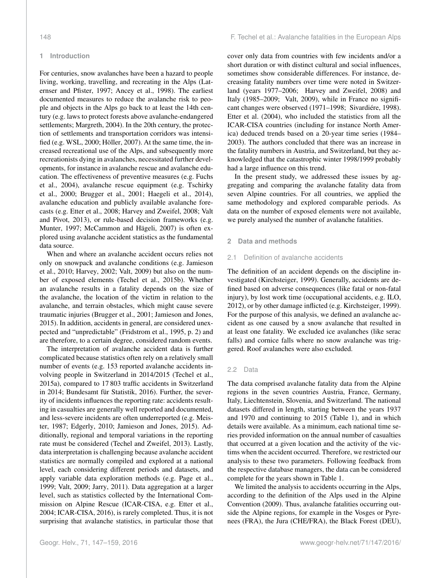#### **1 Introduction**

For centuries, snow avalanches have been a hazard to people living, working, travelling, and recreating in the Alps [\(Lat](#page-11-0)[ernser and Pfister,](#page-11-0) [1997;](#page-11-0) [Ancey et al.,](#page-9-0) [1998\)](#page-9-0). The earliest documented measures to reduce the avalanche risk to people and objects in the Alps go back to at least the 14th century (e.g. laws to protect forests above avalanche-endangered settlements; [Margreth,](#page-11-1) [2004\)](#page-11-1). In the 20th century, the protection of settlements and transportation corridors was intensified (e.g. [WSL,](#page-12-0) [2000;](#page-12-0) [Höller,](#page-10-0) [2007\)](#page-10-0). At the same time, the increased recreational use of the Alps, and subsequently more recreationists dying in avalanches, necessitated further developments, for instance in avalanche rescue and avalanche education. The effectiveness of preventive measures (e.g. [Fuchs](#page-10-1) [et al.,](#page-10-1) [2004\)](#page-10-1), avalanche rescue equipment (e.g. [Tschirky](#page-11-2) [et al.,](#page-11-2) [2000;](#page-11-2) [Brugger et al.,](#page-10-2) [2001;](#page-10-2) [Haegeli et al.,](#page-10-3) [2014\)](#page-10-3), avalanche education and publicly available avalanche forecasts (e.g. [Etter et al.,](#page-10-4) [2008;](#page-10-4) [Harvey and Zweifel,](#page-10-5) [2008;](#page-10-5) [Valt](#page-11-3) [and Pivot,](#page-11-3) [2013\)](#page-11-3), or rule-based decision frameworks (e.g. [Munter,](#page-11-4) [1997;](#page-11-4) [McCammon and Hägeli,](#page-11-5) [2007\)](#page-11-5) is often explored using avalanche accident statistics as the fundamental data source.

When and where an avalanche accident occurs relies not only on snowpack and avalanche conditions (e.g. [Jamieson](#page-10-6) [et al.,](#page-10-6) [2010;](#page-10-6) [Harvey,](#page-10-7) [2002;](#page-10-7) [Valt,](#page-11-6) [2009\)](#page-11-6) but also on the number of exposed elements [\(Techel et al.,](#page-11-7) [2015b\)](#page-11-7). Whether an avalanche results in a fatality depends on the size of the avalanche, the location of the victim in relation to the avalanche, and terrain obstacles, which might cause severe traumatic injuries [\(Brugger et al.,](#page-10-2) [2001;](#page-10-2) [Jamieson and Jones,](#page-10-8) [2015\)](#page-10-8). In addition, accidents in general, are considered unexpected and "unpredictable" [\(Fridstrom et al.,](#page-10-9) [1995,](#page-10-9) p. 2) and are therefore, to a certain degree, considered random events.

The interpretation of avalanche accident data is further complicated because statistics often rely on a relatively small number of events (e.g. 153 reported avalanche accidents involving people in Switzerland in 2014/2015 [\(Techel et al.,](#page-11-8) [2015a\)](#page-11-8), compared to 17 803 traffic accidents in Switzerland in 2014; [Bundesamt für Statistik,](#page-10-10) [2016\)](#page-10-10). Further, the severity of incidents influences the reporting rate: accidents resulting in casualties are generally well reported and documented, and less-severe incidents are often underreported (e.g. [Meis](#page-11-9)[ter,](#page-11-9) [1987;](#page-11-9) [Edgerly,](#page-10-11) [2010;](#page-10-11) [Jamieson and Jones,](#page-10-8) [2015\)](#page-10-8). Additionally, regional and temporal variations in the reporting rate must be considered [\(Techel and Zweifel,](#page-11-10) [2013\)](#page-11-10). Lastly, data interpretation is challenging because avalanche accident statistics are normally compiled and explored at a national level, each considering different periods and datasets, and apply variable data exploration methods (e.g. [Page et al.,](#page-11-11) [1999;](#page-11-11) [Valt,](#page-11-6) [2009;](#page-11-6) [Jarry,](#page-10-12) [2011\)](#page-10-12). Data aggregation at a larger level, such as statistics collected by the International Commission on Alpine Rescue (ICAR-CISA, e.g. [Etter et al.,](#page-10-13) [2004;](#page-10-13) [ICAR-CISA,](#page-10-14) [2016\)](#page-10-14), is rarely completed. Thus, it is not surprising that avalanche statistics, in particular those that cover only data from countries with few incidents and/or a short duration or with distinct cultural and social influences, sometimes show considerable differences. For instance, decreasing fatality numbers over time were noted in Switzerland (years 1977–2006; [Harvey and Zweifel,](#page-10-5) [2008\)](#page-10-5) and Italy (1985–2009; [Valt,](#page-11-6) [2009\)](#page-11-6), while in France no significant changes were observed (1971–1998; [Sivardiére,](#page-11-12) [1998\)](#page-11-12). [Etter et al.](#page-10-13) [\(2004\)](#page-10-13), who included the statistics from all the ICAR-CISA countries (including for instance North America) deduced trends based on a 20-year time series (1984– 2003). The authors concluded that there was an increase in the fatality numbers in Austria, and Switzerland, but they acknowledged that the catastrophic winter 1998/1999 probably had a large influence on this trend.

In the present study, we addressed these issues by aggregating and comparing the avalanche fatality data from seven Alpine countries. For all countries, we applied the same methodology and explored comparable periods. As data on the number of exposed elements were not available, we purely analysed the number of avalanche fatalities.

#### **2 Data and methods**

#### 2.1 Definition of avalanche accidents

The definition of an accident depends on the discipline investigated [\(Kirchsteiger,](#page-10-15) [1999\)](#page-10-15). Generally, accidents are defined based on adverse consequences (like fatal or non-fatal injury), by lost work time (occupational accidents, e.g. [ILO,](#page-10-16) [2012\)](#page-10-16), or by other damage inflicted (e.g. [Kirchsteiger,](#page-10-15) [1999\)](#page-10-15). For the purpose of this analysis, we defined an avalanche accident as one caused by a snow avalanche that resulted in at least one fatality. We excluded ice avalanches (like serac falls) and cornice falls where no snow avalanche was triggered. Roof avalanches were also excluded.

#### 2.2 Data

The data comprised avalanche fatality data from the Alpine regions in the seven countries Austria, France, Germany, Italy, Liechtenstein, Slovenia, and Switzerland. The national datasets differed in length, starting between the years 1937 and 1970 and continuing to 2015 (Table [1\)](#page-2-0), and in which details were available. As a minimum, each national time series provided information on the annual number of casualties that occurred at a given location and the activity of the victims when the accident occurred. Therefore, we restricted our analysis to these two parameters. Following feedback from the respective database managers, the data can be considered complete for the years shown in Table [1.](#page-2-0)

We limited the analysis to accidents occurring in the Alps, according to the definition of the Alps used in the [Alpine](#page-9-1) [Convention](#page-9-1) [\(2009\)](#page-9-1). Thus, avalanche fatalities occurring outside the Alpine regions, for example in the Vosges or Pyrenees (FRA), the Jura (CHE/FRA), the Black Forest (DEU),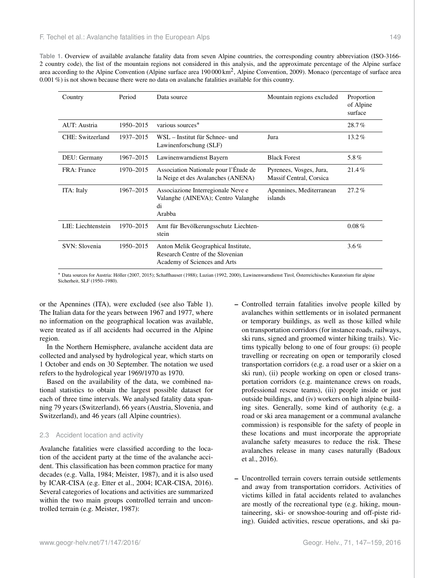<span id="page-2-0"></span>

| Country             | Period    | Data source                                                                                             | Mountain regions excluded                          | Proportion<br>of Alpine<br>surface |
|---------------------|-----------|---------------------------------------------------------------------------------------------------------|----------------------------------------------------|------------------------------------|
| AUT: Austria        | 1950-2015 | various sources*                                                                                        |                                                    | 28.7%                              |
| CHE: Switzerland    | 1937-2015 | WSL - Institut für Schnee- und<br>Jura<br>Lawinenforschung (SLF)                                        |                                                    | $13.2\%$                           |
| DEU: Germany        | 1967-2015 | Lawinenwarndienst Bayern                                                                                | <b>Black Forest</b>                                | 5.8%                               |
| <b>FRA</b> : France | 1970-2015 | Association Nationale pour l'Étude de<br>la Neige et des Avalanches (ANENA)                             | Pyrenees, Vosges, Jura,<br>Massif Central, Corsica | $21.4\%$                           |
| ITA: Italy          | 1967-2015 | Associazione Interregionale Neve e<br>Valanghe (AINEVA); Centro Valanghe<br>di<br>Arabba                | Apennines, Mediterranean<br>islands                | $27.2\%$                           |
| LIE: Liechtenstein  | 1970–2015 | Amt für Bevölkerungsschutz Liechten-<br>stein                                                           |                                                    | $0.08\%$                           |
| SVN: Slovenia       | 1950–2015 | Anton Melik Geographical Institute,<br>Research Centre of the Slovenian<br>Academy of Sciences and Arts |                                                    | $3.6\%$                            |

<sup>∗</sup> Data sources for Austria: [Höller](#page-10-0) [\(2007,](#page-10-0) [2015\)](#page-10-17); [Schaffhauser](#page-11-13) [\(1988\)](#page-11-13); [Luzian](#page-11-14) [\(1992,](#page-11-14) [2000\)](#page-11-15), Lawinenwarndienst Tirol, Österreichisches Kuratorium für alpine Sicherheit, [SLF](#page-11-16) [\(1950–1980\)](#page-11-16).

or the Apennines (ITA), were excluded (see also Table [1\)](#page-2-0). The Italian data for the years between 1967 and 1977, where no information on the geographical location was available, were treated as if all accidents had occurred in the Alpine region.

In the Northern Hemisphere, avalanche accident data are collected and analysed by hydrological year, which starts on 1 October and ends on 30 September. The notation we used refers to the hydrological year 1969/1970 as 1970.

Based on the availability of the data, we combined national statistics to obtain the largest possible dataset for each of three time intervals. We analysed fatality data spanning 79 years (Switzerland), 66 years (Austria, Slovenia, and Switzerland), and 46 years (all Alpine countries).

# 2.3 Accident location and activity

Avalanche fatalities were classified according to the location of the accident party at the time of the avalanche accident. This classification has been common practice for many decades (e.g. [Valla,](#page-11-17) [1984;](#page-11-17) [Meister,](#page-11-9) [1987\)](#page-11-9), and it is also used by ICAR-CISA (e.g. [Etter et al.,](#page-10-13) [2004;](#page-10-13) [ICAR-CISA,](#page-10-14) [2016\)](#page-10-14). Several categories of locations and activities are summarized within the two main groups controlled terrain and uncontrolled terrain (e.g. [Meister,](#page-11-9) [1987\)](#page-11-9):

- Controlled terrain fatalities involve people killed by avalanches within settlements or in isolated permanent or temporary buildings, as well as those killed while on transportation corridors (for instance roads, railways, ski runs, signed and groomed winter hiking trails). Victims typically belong to one of four groups: (i) people travelling or recreating on open or temporarily closed transportation corridors (e.g. a road user or a skier on a ski run), (ii) people working on open or closed transportation corridors (e.g. maintenance crews on roads, professional rescue teams), (iii) people inside or just outside buildings, and (iv) workers on high alpine building sites. Generally, some kind of authority (e.g. a road or ski area management or a communal avalanche commission) is responsible for the safety of people in these locations and must incorporate the appropriate avalanche safety measures to reduce the risk. These avalanches release in many cases naturally [\(Badoux](#page-10-18) [et al.,](#page-10-18) [2016\)](#page-10-18).
- Uncontrolled terrain covers terrain outside settlements and away from transportation corridors. Activities of victims killed in fatal accidents related to avalanches are mostly of the recreational type (e.g. hiking, mountaineering, ski- or snowshoe-touring and off-piste riding). Guided activities, rescue operations, and ski pa-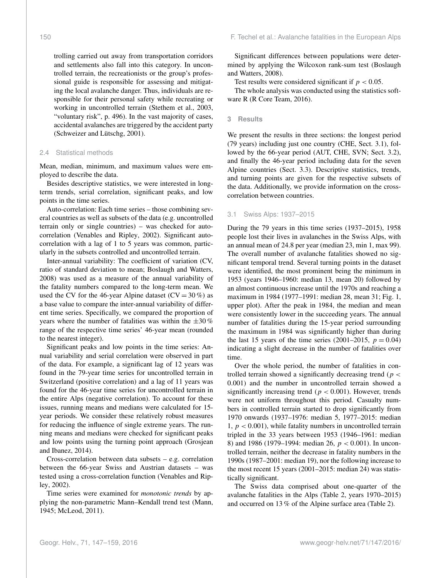trolling carried out away from transportation corridors and settlements also fall into this category. In uncontrolled terrain, the recreationists or the group's professional guide is responsible for assessing and mitigating the local avalanche danger. Thus, individuals are responsible for their personal safety while recreating or working in uncontrolled terrain [\(Stethem et al.,](#page-11-18) [2003,](#page-11-18) "voluntary risk", p. 496). In the vast majority of cases, accidental avalanches are triggered by the accident party [\(Schweizer and Lütschg,](#page-11-19) [2001\)](#page-11-19).

#### 2.4 Statistical methods

Mean, median, minimum, and maximum values were employed to describe the data.

Besides descriptive statistics, we were interested in longterm trends, serial correlation, significant peaks, and low points in the time series.

Auto-correlation: Each time series – those combining several countries as well as subsets of the data (e.g. uncontrolled terrain only or single countries) – was checked for autocorrelation [\(Venables and Ripley,](#page-11-20) [2002\)](#page-11-20). Significant autocorrelation with a lag of 1 to 5 years was common, particularly in the subsets controlled and uncontrolled terrain.

Inter-annual variability: The coefficient of variation (CV, ratio of standard deviation to mean; [Boslaugh and Watters,](#page-10-19) [2008\)](#page-10-19) was used as a measure of the annual variability of the fatality numbers compared to the long-term mean. We used the CV for the 46-year Alpine dataset  $(CV = 30\%)$  as a base value to compare the inter-annual variability of different time series. Specifically, we compared the proportion of years where the number of fatalities was within the  $\pm 30\%$ range of the respective time series' 46-year mean (rounded to the nearest integer).

Significant peaks and low points in the time series: Annual variability and serial correlation were observed in part of the data. For example, a significant lag of 12 years was found in the 79-year time series for uncontrolled terrain in Switzerland (positive correlation) and a lag of 11 years was found for the 46-year time series for uncontrolled terrain in the entire Alps (negative correlation). To account for these issues, running means and medians were calculated for 15 year periods. We consider these relatively robust measures for reducing the influence of single extreme years. The running means and medians were checked for significant peaks and low points using the turning point approach [\(Grosjean](#page-10-20) [and Ibanez,](#page-10-20) [2014\)](#page-10-20).

Cross-correlation between data subsets – e.g. correlation between the 66-year Swiss and Austrian datasets – was tested using a cross-correlation function [\(Venables and Rip](#page-11-20)[ley,](#page-11-20) [2002\)](#page-11-20).

Time series were examined for *monotonic trends* by applying the non-parametric Mann–Kendall trend test [\(Mann,](#page-11-21) [1945;](#page-11-21) [McLeod,](#page-11-22) [2011\)](#page-11-22).

Significant differences between populations were determined by applying the Wilcoxon rank-sum test [\(Boslaugh](#page-10-19) [and Watters,](#page-10-19) [2008\)](#page-10-19).

Test results were considered significant if  $p < 0.05$ .

The whole analysis was conducted using the statistics software R [\(R Core Team,](#page-11-23) [2016\)](#page-11-23).

#### **3 Results**

We present the results in three sections: the longest period (79 years) including just one country (CHE, Sect. [3.1\)](#page-3-0), followed by the 66-year period (AUT, CHE, SVN; Sect. [3.2\)](#page-4-0), and finally the 46-year period including data for the seven Alpine countries (Sect. [3.3\)](#page-4-1). Descriptive statistics, trends, and turning points are given for the respective subsets of the data. Additionally, we provide information on the crosscorrelation between countries.

# <span id="page-3-0"></span>3.1 Swiss Alps: 1937–2015

During the 79 years in this time series (1937–2015), 1958 people lost their lives in avalanches in the Swiss Alps, with an annual mean of 24.8 per year (median 23, min 1, max 99). The overall number of avalanche fatalities showed no significant temporal trend. Several turning points in the dataset were identified, the most prominent being the minimum in 1953 (years 1946–1960: median 13, mean 20) followed by an almost continuous increase until the 1970s and reaching a maximum in 1984 (1977–1991: median 28, mean 31; Fig. [1,](#page-5-0) upper plot). After the peak in 1984, the median and mean were consistently lower in the succeeding years. The annual number of fatalities during the 15-year period surrounding the maximum in 1984 was significantly higher than during the last 15 years of the time series (2001–2015,  $p = 0.04$ ) indicating a slight decrease in the number of fatalities over time.

Over the whole period, the number of fatalities in controlled terrain showed a significantly decreasing trend ( $p <$ 0.001) and the number in uncontrolled terrain showed a significantly increasing trend ( $p < 0.001$ ). However, trends were not uniform throughout this period. Casualty numbers in controlled terrain started to drop significantly from 1970 onwards (1937–1976: median 5, 1977–2015: median 1,  $p < 0.001$ ), while fatality numbers in uncontrolled terrain tripled in the 33 years between 1953 (1946–1961: median 8) and 1986 (1979–1994: median 26,  $p < 0.001$ ). In uncontrolled terrain, neither the decrease in fatality numbers in the 1990s (1987–2001: median 19), nor the following increase to the most recent 15 years (2001–2015: median 24) was statistically significant.

The Swiss data comprised about one-quarter of the avalanche fatalities in the Alps (Table [2,](#page-4-2) years 1970–2015) and occurred on 13 % of the Alpine surface area (Table [2\)](#page-4-2).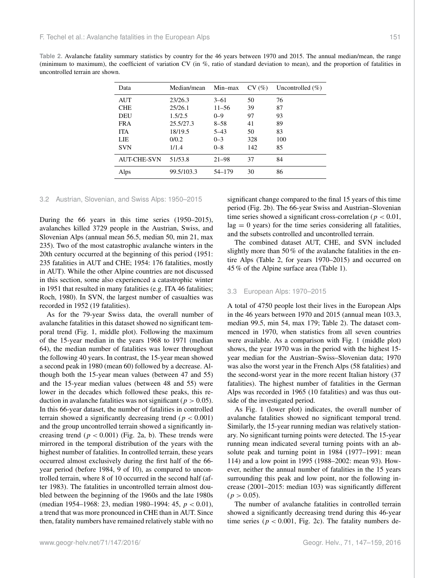<span id="page-4-2"></span>

| Table 2. Avalanche fatality summary statistics by country for the 46 years between 1970 and 2015. The annual median/mean, the range        |  |
|--------------------------------------------------------------------------------------------------------------------------------------------|--|
| (minimum to maximum), the coefficient of variation CV (in $\%$ , ratio of standard deviation to mean), and the proportion of fatalities in |  |
| uncontrolled terrain are shown.                                                                                                            |  |

| Data               | Median/mean | Min-max   | CV(%) | Uncontrolled $(\% )$ |
|--------------------|-------------|-----------|-------|----------------------|
| <b>AUT</b>         | 23/26.3     | $3 - 61$  | 50    | 76                   |
| <b>CHE</b>         | 25/26.1     | $11 - 56$ | 39    | 87                   |
| <b>DEU</b>         | 1.5/2.5     | $0 - 9$   | 97    | 93                   |
| <b>FRA</b>         | 25.5/27.3   | $8 - 58$  | 41    | 89                   |
| <b>ITA</b>         | 18/19.5     | $5 - 43$  | 50    | 83                   |
| LIE                | 0/0.2       | $0 - 3$   | 328   | 100                  |
| <b>SVN</b>         | 1/1.4       | $0 - 8$   | 142   | 85                   |
| <b>AUT-CHE-SVN</b> | 51/53.8     | $21 - 98$ | 37    | 84                   |
| Alps               | 99.5/103.3  | 54–179    | 30    | 86                   |

# <span id="page-4-0"></span>3.2 Austrian, Slovenian, and Swiss Alps: 1950–2015

During the 66 years in this time series (1950–2015), avalanches killed 3729 people in the Austrian, Swiss, and Slovenian Alps (annual mean 56.5, median 50, min 21, max 235). Two of the most catastrophic avalanche winters in the 20th century occurred at the beginning of this period (1951: 235 fatalities in AUT and CHE; 1954: 176 fatalities, mostly in AUT). While the other Alpine countries are not discussed in this section, some also experienced a catastrophic winter in 1951 that resulted in many fatalities (e.g. ITA 46 fatalities; [Roch,](#page-11-24) [1980\)](#page-11-24). In SVN, the largest number of casualties was recorded in 1952 (19 fatalities).

As for the 79-year Swiss data, the overall number of avalanche fatalities in this dataset showed no significant temporal trend (Fig. [1,](#page-5-0) middle plot). Following the maximum of the 15-year median in the years 1968 to 1971 (median 64), the median number of fatalities was lower throughout the following 40 years. In contrast, the 15-year mean showed a second peak in 1980 (mean 60) followed by a decrease. Although both the 15-year mean values (between 47 and 55) and the 15-year median values (between 48 and 55) were lower in the decades which followed these peaks, this reduction in avalanche fatalities was not significant ( $p > 0.05$ ). In this 66-year dataset, the number of fatalities in controlled terrain showed a significantly decreasing trend ( $p < 0.001$ ) and the group uncontrolled terrain showed a significantly increasing trend ( $p < 0.001$ ) (Fig. [2a](#page-6-0), b). These trends were mirrored in the temporal distribution of the years with the highest number of fatalities. In controlled terrain, these years occurred almost exclusively during the first half of the 66 year period (before 1984, 9 of 10), as compared to uncontrolled terrain, where 8 of 10 occurred in the second half (after 1983). The fatalities in uncontrolled terrain almost doubled between the beginning of the 1960s and the late 1980s (median 1954–1968: 23, median 1980–1994: 45,  $p < 0.01$ ), a trend that was more pronounced in CHE than in AUT. Since then, fatality numbers have remained relatively stable with no

significant change compared to the final 15 years of this time period (Fig. [2b](#page-6-0)). The 66-year Swiss and Austrian–Slovenian time series showed a significant cross-correlation ( $p < 0.01$ ,  $lag = 0$  years) for the time series considering all fatalities, and the subsets controlled and uncontrolled terrain.

The combined dataset AUT, CHE, and SVN included slightly more than 50 % of the avalanche fatalities in the entire Alps (Table [2,](#page-4-2) for years 1970–2015) and occurred on 45 % of the Alpine surface area (Table [1\)](#page-2-0).

#### <span id="page-4-1"></span>3.3 European Alps: 1970–2015

A total of 4750 people lost their lives in the European Alps in the 46 years between 1970 and 2015 (annual mean 103.3, median 99.5, min 54, max 179; Table [2\)](#page-4-2). The dataset commenced in 1970, when statistics from all seven countries were available. As a comparison with Fig. [1](#page-5-0) (middle plot) shows, the year 1970 was in the period with the highest 15 year median for the Austrian–Swiss–Slovenian data; 1970 was also the worst year in the French Alps (58 fatalities) and the second-worst year in the more recent Italian history (37 fatalities). The highest number of fatalities in the German Alps was recorded in 1965 (10 fatalities) and was thus outside of the investigated period.

As Fig. [1](#page-5-0) (lower plot) indicates, the overall number of avalanche fatalities showed no significant temporal trend. Similarly, the 15-year running median was relatively stationary. No significant turning points were detected. The 15-year running mean indicated several turning points with an absolute peak and turning point in 1984 (1977–1991: mean 114) and a low point in 1995 (1988–2002: mean 93). However, neither the annual number of fatalities in the 15 years surrounding this peak and low point, nor the following increase (2001–2015: median 103) was significantly different  $(p > 0.05)$ .

The number of avalanche fatalities in controlled terrain showed a significantly decreasing trend during this 46-year time series ( $p < 0.001$ , Fig. [2c](#page-6-0)). The fatality numbers de-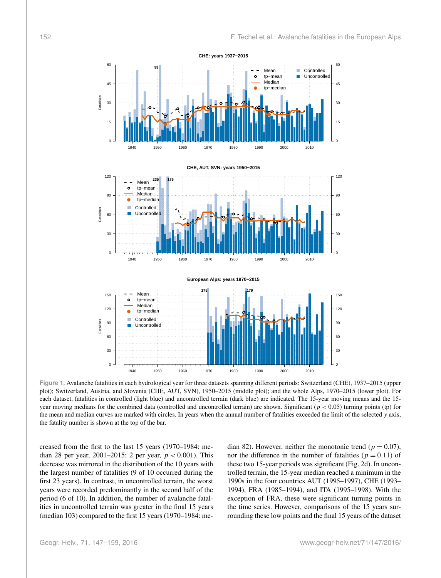<span id="page-5-0"></span>

**Figure 1.** Avalanche fatalities in each hydrological year for three datasets spanning different periods: Switzerland (CHE), 1937–2015 (upper plot); Switzerland, Austria, and Slovenia (CHE, AUT, SVN), 1950–2015 (middle plot); and the whole Alps, 1970–2015 (lower plot). For each dataset, fatalities in controlled (light blue) and uncontrolled terrain (dark blue) are indicated. The 15-year moving means and the 15 year moving medians for the combined data (controlled and uncontrolled terrain) are shown. Significant ( $p < 0.05$ ) turning points (tp) for the mean and median curves are marked with circles. In years when the annual number of fatalities exceeded the limit of the selected y axis, the fatality number is shown at the top of the bar.

creased from the first to the last 15 years (1970–1984: median 28 per year, 2001–2015: 2 per year,  $p < 0.001$ ). This decrease was mirrored in the distribution of the 10 years with the largest number of fatalities (9 of 10 occurred during the first 23 years). In contrast, in uncontrolled terrain, the worst years were recorded predominantly in the second half of the period (6 of 10). In addition, the number of avalanche fatalities in uncontrolled terrain was greater in the final 15 years (median 103) compared to the first 15 years (1970–1984: median 82). However, neither the monotonic trend ( $p = 0.07$ ), nor the difference in the number of fatalities ( $p = 0.11$ ) of these two 15-year periods was significant (Fig. [2d](#page-6-0)). In uncontrolled terrain, the 15-year median reached a minimum in the 1990s in the four countries AUT (1995–1997), CHE (1993– 1994), FRA (1985–1994), and ITA (1995–1998). With the exception of FRA, these were significant turning points in the time series. However, comparisons of the 15 years surrounding these low points and the final 15 years of the dataset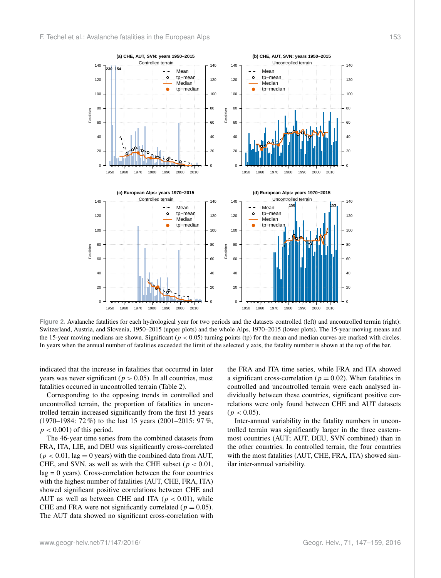<span id="page-6-0"></span>

**Figure 2.** Avalanche fatalities for each hydrological year for two periods and the datasets controlled (left) and uncontrolled terrain (right): Switzerland, Austria, and Slovenia, 1950–2015 (upper plots) and the whole Alps, 1970–2015 (lower plots). The 15-year moving means and the 15-year moving medians are shown. Significant ( $p < 0.05$ ) turning points (tp) for the mean and median curves are marked with circles. In years when the annual number of fatalities exceeded the limit of the selected y axis, the fatality number is shown at the top of the bar.

indicated that the increase in fatalities that occurred in later years was never significant ( $p > 0.05$ ). In all countries, most fatalities occurred in uncontrolled terrain (Table [2\)](#page-4-2).

Corresponding to the opposing trends in controlled and uncontrolled terrain, the proportion of fatalities in uncontrolled terrain increased significantly from the first 15 years (1970–1984: 72 %) to the last 15 years (2001–2015: 97 %,  $p < 0.001$ ) of this period.

The 46-year time series from the combined datasets from FRA, ITA, LIE, and DEU was significantly cross-correlated  $(p < 0.01$ , lag = 0 years) with the combined data from AUT, CHE, and SVN, as well as with the CHE subset ( $p < 0.01$ ,  $lag = 0$  years). Cross-correlation between the four countries with the highest number of fatalities (AUT, CHE, FRA, ITA) showed significant positive correlations between CHE and AUT as well as between CHE and ITA ( $p < 0.01$ ), while CHE and FRA were not significantly correlated ( $p = 0.05$ ). The AUT data showed no significant cross-correlation with

the FRA and ITA time series, while FRA and ITA showed a significant cross-correlation ( $p = 0.02$ ). When fatalities in controlled and uncontrolled terrain were each analysed individually between these countries, significant positive correlations were only found between CHE and AUT datasets  $(p < 0.05)$ .

Inter-annual variability in the fatality numbers in uncontrolled terrain was significantly larger in the three easternmost countries (AUT; AUT, DEU, SVN combined) than in the other countries. In controlled terrain, the four countries with the most fatalities (AUT, CHE, FRA, ITA) showed similar inter-annual variability.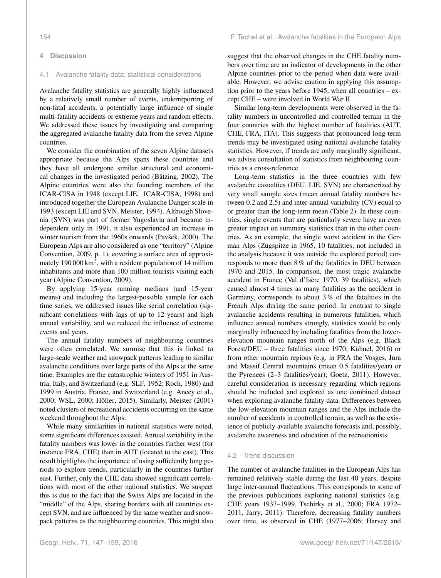#### **4 Discussion**

#### 4.1 Avalanche fatality data: statistical considerations

Avalanche fatality statistics are generally highly influenced by a relatively small number of events, underreporting of non-fatal accidents, a potentially large influence of single multi-fatality accidents or extreme years and random effects. We addressed these issues by investigating and comparing the aggregated avalanche fatality data from the seven Alpine countries.

We consider the combination of the seven Alpine datasets appropriate because the Alps spans these countries and they have all undergone similar structural and economical changes in the investigated period [\(Bätzing,](#page-10-21) [2002\)](#page-10-21). The Alpine countries were also the founding members of the ICAR-CISA in 1948 (except LIE, [ICAR-CISA,](#page-10-22) [1998\)](#page-10-22) and introduced together the European Avalanche Danger scale in 1993 (except LIE and SVN, [Meister,](#page-11-25) [1994\)](#page-11-25). Although Slovenia (SVN) was part of former Yugoslavia and became independent only in 1991, it also experienced an increase in winter tourism from the 1960s onwards [\(Pavšek,](#page-11-26) [2000\)](#page-11-26). The European Alps are also considered as one "territory" [\(Alpine](#page-9-1) [Convention,](#page-9-1) [2009,](#page-9-1) p. 1), covering a surface area of approximately 190 000 km<sup>2</sup>, with a resident population of 14 million inhabitants and more than 100 million tourists visiting each year [\(Alpine Convention,](#page-9-1) [2009\)](#page-9-1).

By applying 15-year running medians (and 15-year means) and including the largest-possible sample for each time series, we addressed issues like serial correlation (significant correlations with lags of up to 12 years) and high annual variability, and we reduced the influence of extreme events and years.

The annual fatality numbers of neighbouring countries were often correlated. We surmise that this is linked to large-scale weather and snowpack patterns leading to similar avalanche conditions over large parts of the Alps at the same time. Examples are the catastrophic winters of 1951 in Austria, Italy, and Switzerland (e.g. [SLF,](#page-11-27) [1952;](#page-11-27) [Roch,](#page-11-24) [1980\)](#page-11-24) and 1999 in Austria, France, and Switzerland (e.g. [Ancey et al.,](#page-10-23) [2000;](#page-10-23) [WSL,](#page-12-0) [2000;](#page-12-0) [Höller,](#page-10-17) [2015\)](#page-10-17). Similarly, [Meister](#page-11-28) [\(2001\)](#page-11-28) noted clusters of recreational accidents occurring on the same weekend throughout the Alps.

While many similarities in national statistics were noted, some significant differences existed. Annual variability in the fatality numbers was lower in the countries further west (for instance FRA, CHE) than in AUT (located to the east). This result highlights the importance of using sufficiently long periods to explore trends, particularly in the countries further east. Further, only the CHE data showed significant correlations with most of the other national statistics. We suspect this is due to the fact that the Swiss Alps are located in the "middle" of the Alps, sharing borders with all countries except SVN, and are influenced by the same weather and snowpack patterns as the neighbouring countries. This might also

suggest that the observed changes in the CHE fatality numbers over time are an indicator of developments in the other Alpine countries prior to the period when data were available. However, we advise caution in applying this assumption prior to the years before 1945, when all countries – except CHE – were involved in World War II.

Similar long-term developments were observed in the fatality numbers in uncontrolled and controlled terrain in the four countries with the highest number of fatalities (AUT, CHE, FRA, ITA). This suggests that pronounced long-term trends may be investigated using national avalanche fatality statistics. However, if trends are only marginally significant, we advise consultation of statistics from neighbouring countries as a cross-reference.

Long-term statistics in the three countries with few avalanche casualties (DEU, LIE, SVN) are characterized by very small sample sizes (mean annual fatality numbers between 0.2 and 2.5) and inter-annual variability (CV) equal to or greater than the long-term mean (Table [2\)](#page-4-2). In these countries, single events that are particularly severe have an even greater impact on summary statistics than in the other countries. As an example, the single worst accident in the German Alps (Zugspitze in 1965, 10 fatalities; not included in the analysis because it was outside the explored period) corresponds to more than 8 % of the fatalities in DEU between 1970 and 2015. In comparison, the most tragic avalanche accident in France (Val d'Isère 1970, 39 fatalities), which caused almost 4 times as many fatalities as the accident in Germany, corresponds to about 3 % of the fatalities in the French Alps during the same period. In contrast to single avalanche accidents resulting in numerous fatalities, which influence annual numbers strongly, statistics would be only marginally influenced by including fatalities from the lowerelevation mountain ranges north of the Alps (e.g. Black Forest/DEU – three fatalities since 1970; [Kühnel,](#page-10-24) [2016\)](#page-10-24) or from other mountain regions (e.g. in FRA the Vosges, Jura and Massif Central mountains (mean 0.5 fatalities/year) or the Pyrenees (2–3 fatalities/year); [Goetz,](#page-10-25) [2011\)](#page-10-25). However, careful consideration is necessary regarding which regions should be included and explored as one combined dataset when exploring avalanche fatality data. Differences between the low-elevation mountain ranges and the Alps include the number of accidents in controlled terrain, as well as the existence of publicly available avalanche forecasts and, possibly, avalanche awareness and education of the recreationists.

# 4.2 Trend discussion

The number of avalanche fatalities in the European Alps has remained relatively stable during the last 40 years, despite large inter-annual fluctuations. This corresponds to some of the previous publications exploring national statistics (e.g. CHE years 1937–1999, [Tschirky et al.,](#page-11-2) [2000;](#page-11-2) FRA 1972– 2011, [Jarry,](#page-10-12) [2011\)](#page-10-12). Therefore, decreasing fatality numbers over time, as observed in CHE (1977–2006; [Harvey and](#page-10-5)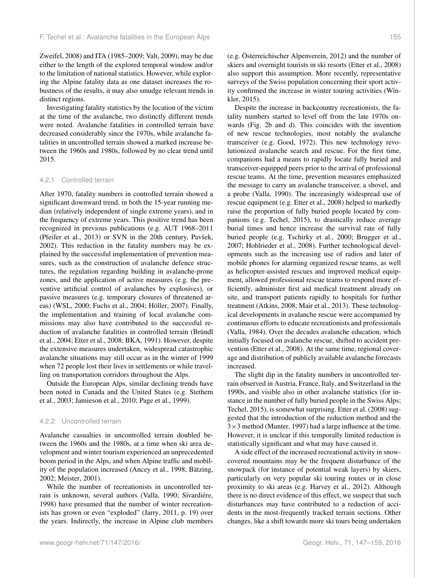[Zweifel,](#page-10-5) [2008\)](#page-10-5) and ITA (1985–2009; [Valt,](#page-11-6) [2009\)](#page-11-6), may be due either to the length of the explored temporal window and/or to the limitation of national statistics. However, while exploring the Alpine fatality data as one dataset increases the robustness of the results, it may also smudge relevant trends in distinct regions.

Investigating fatality statistics by the location of the victim at the time of the avalanche, two distinctly different trends were noted. Avalanche fatalities in controlled terrain have decreased considerably since the 1970s, while avalanche fatalities in uncontrolled terrain showed a marked increase between the 1960s and 1980s, followed by no clear trend until 2015.

### 4.2.1 Controlled terrain

After 1970, fatality numbers in controlled terrain showed a significant downward trend, in both the 15-year running median (relatively independent of single extreme years), and in the frequency of extreme years. This positive trend has been recognized in previous publications (e.g. AUT 1968–2011 [\(Pfeifer et al.,](#page-11-29) [2013\)](#page-11-29) or SVN in the 20th century, [Pavšek,](#page-11-30) [2002\)](#page-11-30). This reduction in the fatality numbers may be explained by the successful implementation of prevention measures, such as the construction of avalanche defence structures, the regulation regarding building in avalanche-prone zones, and the application of active measures (e.g. the preventive artificial control of avalanches by explosives), or passive measures (e.g. temporary closures of threatened areas) [\(WSL,](#page-12-0) [2000;](#page-12-0) [Fuchs et al.,](#page-10-1) [2004;](#page-10-1) [Höller,](#page-10-0) [2007\)](#page-10-0). Finally, the implementation and training of local avalanche commissions may also have contributed to the successful reduction of avalanche fatalities in controlled terrain [\(Bründl](#page-10-26) [et al.,](#page-10-26) [2004;](#page-10-26) [Etter et al.,](#page-10-4) [2008;](#page-10-4) [BKA,](#page-10-27) [1991\)](#page-10-27). However, despite the extensive measures undertaken, widespread catastrophic avalanche situations may still occur as in the winter of 1999 when 72 people lost their lives in settlements or while travelling on transportation corridors throughout the Alps.

Outside the European Alps, similar declining trends have been noted in Canada and the United States (e.g. [Stethem](#page-11-18) [et al.,](#page-11-18) [2003;](#page-11-18) [Jamieson et al.,](#page-10-6) [2010;](#page-10-6) [Page et al.,](#page-11-11) [1999\)](#page-11-11).

#### 4.2.2 Uncontrolled terrain

Avalanche casualties in uncontrolled terrain doubled between the 1960s and the 1980s, at a time when ski area development and winter tourism experienced an unprecedented boom period in the Alps, and when Alpine traffic and mobility of the population increased [\(Ancey et al.,](#page-9-0) [1998;](#page-9-0) [Bätzing,](#page-10-21) [2002;](#page-10-21) [Meister,](#page-11-28) [2001\)](#page-11-28).

While the number of recreationists in uncontrolled terrain is unknown, several authors [\(Valla,](#page-11-31) [1990;](#page-11-31) [Sivardiére,](#page-11-12) [1998\)](#page-11-12) have presumed that the number of winter recreationists has grown or even "exploded" [\(Jarry,](#page-10-12) [2011,](#page-10-12) p. 19) over the years. Indirectly, the increase in Alpine club members (e.g. [Österreichischer Alpenverein,](#page-11-32) [2012\)](#page-11-32) and the number of skiers and overnight tourists in ski resorts [\(Etter et al.,](#page-10-4) [2008\)](#page-10-4) also support this assumption. More recently, representative surveys of the Swiss population concerning their sport activity confirmed the increase in winter touring activities [\(Win](#page-12-1)[kler,](#page-12-1) [2015\)](#page-12-1).

Despite the increase in backcountry recreationists, the fatality numbers started to level off from the late 1970s onwards (Fig. [2b](#page-6-0) and d). This coincides with the invention of new rescue technologies, most notably the avalanche transceiver (e.g. [Good,](#page-10-28) [1972\)](#page-10-28). This new technology revolutionized avalanche search and rescue. For the first time, companions had a means to rapidly locate fully buried and transceiver-equipped peers prior to the arrival of professional rescue teams. At the time, prevention measures emphasized the message to carry an avalanche transceiver, a shovel, and a probe [\(Valla,](#page-11-31) [1990\)](#page-11-31). The increasingly widespread use of rescue equipment (e.g. [Etter et al.,](#page-10-4) [2008\)](#page-10-4) helped to markedly raise the proportion of fully buried people located by companions (e.g. [Techel,](#page-11-33) [2015\)](#page-11-33), to drastically reduce average burial times and hence increase the survival rate of fully buried people (e.g. [Tschirky et al.,](#page-11-2) [2000;](#page-11-2) [Brugger et al.,](#page-10-29) [2007;](#page-10-29) [Hohlrieder et al.,](#page-10-30) [2008\)](#page-10-30). Further technological developments such as the increasing use of radios and later of mobile phones for alarming organized rescue teams, as well as helicopter-assisted rescues and improved medical equipment, allowed professional rescue teams to respond more efficiently, administer first aid medical treatment already on site, and transport patients rapidly to hospitals for further treatment [\(Atkins,](#page-10-31) [2008;](#page-10-31) [Mair et al.,](#page-11-34) [2013\)](#page-11-34). These technological developments in avalanche rescue were accompanied by continuous efforts to educate recreationists and professionals [\(Valla,](#page-11-17) [1984\)](#page-11-17). Over the decades avalanche education, which initially focused on avalanche rescue, shifted to accident prevention [\(Etter et al.,](#page-10-4) [2008\)](#page-10-4). At the same time, regional coverage and distribution of publicly available avalanche forecasts increased.

The slight dip in the fatality numbers in uncontrolled terrain observed in Austria, France, Italy, and Switzerland in the 1990s, and visible also in other avalanche statistics (for instance in the number of fully buried people in the Swiss Alps; [Techel,](#page-11-33) [2015\)](#page-11-33), is somewhat surprising. [Etter et al.](#page-10-4) [\(2008\)](#page-10-4) suggested that the introduction of the reduction method and the  $3\times3$  method [\(Munter,](#page-11-4) [1997\)](#page-11-4) had a large influence at the time. However, it is unclear if this temporally limited reduction is statistically significant and what may have caused it.

A side effect of the increased recreational activity in snowcovered mountains may be the frequent disturbance of the snowpack (for instance of potential weak layers) by skiers, particularly on very popular ski touring routes or in close proximity to ski areas (e.g. [Harvey et al.,](#page-10-32) [2012\)](#page-10-32). Although there is no direct evidence of this effect, we suspect that such disturbances may have contributed to a reduction of accidents in the most-frequently tracked terrain sections. Other changes, like a shift towards more ski tours being undertaken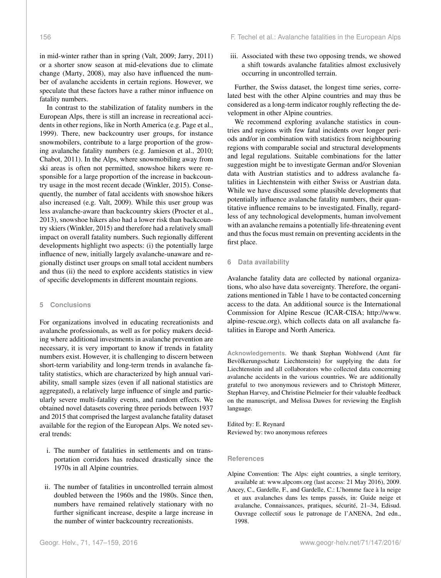in mid-winter rather than in spring [\(Valt,](#page-11-6) [2009;](#page-11-6) [Jarry,](#page-10-12) [2011\)](#page-10-12) or a shorter snow season at mid-elevations due to climate change [\(Marty,](#page-11-35) [2008\)](#page-11-35), may also have influenced the number of avalanche accidents in certain regions. However, we speculate that these factors have a rather minor influence on fatality numbers.

In contrast to the stabilization of fatality numbers in the European Alps, there is still an increase in recreational accidents in other regions, like in North America (e.g. [Page et al.,](#page-11-11) [1999\)](#page-11-11). There, new backcountry user groups, for instance snowmobilers, contribute to a large proportion of the growing avalanche fatality numbers (e.g. [Jamieson et al.,](#page-10-6) [2010;](#page-10-6) [Chabot,](#page-10-33) [2011\)](#page-10-33). In the Alps, where snowmobiling away from ski areas is often not permitted, snowshoe hikers were responsible for a large proportion of the increase in backcountry usage in the most recent decade [\(Winkler,](#page-12-1) [2015\)](#page-12-1). Consequently, the number of fatal accidents with snowshoe hikers also increased (e.g. [Valt,](#page-11-6) [2009\)](#page-11-6). While this user group was less avalanche-aware than backcountry skiers [\(Procter et al.,](#page-11-36) [2013\)](#page-11-36), snowshoe hikers also had a lower risk than backcountry skiers [\(Winkler,](#page-12-1) [2015\)](#page-12-1) and therefore had a relatively small impact on overall fatality numbers. Such regionally different developments highlight two aspects: (i) the potentially large influence of new, initially largely avalanche-unaware and regionally distinct user groups on small total accident numbers and thus (ii) the need to explore accidents statistics in view of specific developments in different mountain regions.

# **5 Conclusions**

For organizations involved in educating recreationists and avalanche professionals, as well as for policy makers deciding where additional investments in avalanche prevention are necessary, it is very important to know if trends in fatality numbers exist. However, it is challenging to discern between short-term variability and long-term trends in avalanche fatality statistics, which are characterized by high annual variability, small sample sizes (even if all national statistics are aggregated), a relatively large influence of single and particularly severe multi-fatality events, and random effects. We obtained novel datasets covering three periods between 1937 and 2015 that comprised the largest avalanche fatality dataset available for the region of the European Alps. We noted several trends:

- i. The number of fatalities in settlements and on transportation corridors has reduced drastically since the 1970s in all Alpine countries.
- ii. The number of fatalities in uncontrolled terrain almost doubled between the 1960s and the 1980s. Since then, numbers have remained relatively stationary with no further significant increase, despite a large increase in the number of winter backcountry recreationists.

iii. Associated with these two opposing trends, we showed a shift towards avalanche fatalities almost exclusively occurring in uncontrolled terrain.

Further, the Swiss dataset, the longest time series, correlated best with the other Alpine countries and may thus be considered as a long-term indicator roughly reflecting the development in other Alpine countries.

We recommend exploring avalanche statistics in countries and regions with few fatal incidents over longer periods and/or in combination with statistics from neighbouring regions with comparable social and structural developments and legal regulations. Suitable combinations for the latter suggestion might be to investigate German and/or Slovenian data with Austrian statistics and to address avalanche fatalities in Liechtenstein with either Swiss or Austrian data. While we have discussed some plausible developments that potentially influence avalanche fatality numbers, their quantitative influence remains to be investigated. Finally, regardless of any technological developments, human involvement with an avalanche remains a potentially life-threatening event and thus the focus must remain on preventing accidents in the first place.

## **6 Data availability**

Avalanche fatality data are collected by national organizations, who also have data sovereignty. Therefore, the organizations mentioned in Table 1 have to be contacted concerning access to the data. An additional source is the International Commission for Alpine Rescue (ICAR-CISA; [http://www.](http://www.alpine-rescue.org) [alpine-rescue.org\)](http://www.alpine-rescue.org), which collects data on all avalanche fatalities in Europe and North America.

**Acknowledgements.** We thank Stephan Wohlwend (Amt für Bevölkerungsschutz Liechtenstein) for supplying the data for Liechtenstein and all collaborators who collected data concerning avalanche accidents in the various countries. We are additionally grateful to two anonymous reviewers and to Christoph Mitterer, Stephan Harvey, and Christine Pielmeier for their valuable feedback on the manuscript, and Melissa Dawes for reviewing the English language.

Edited by: E. Reynard Reviewed by: two anonymous referees

#### **References**

<span id="page-9-1"></span>Alpine Convention: The Alps: eight countries, a single territory, available at: <www.alpconv.org> (last access: 21 May 2016), 2009.

<span id="page-9-0"></span>Ancey, C., Gardelle, F., and Gardelle, C.: L'homme face à la neige et aux avalanches dans les temps passés, in: Guide neige et avalanche, Connaissances, pratiques, sécurité, 21–34, Edisud. Ouvrage collectif sous le patronage de l'ANENA, 2nd edn., 1998.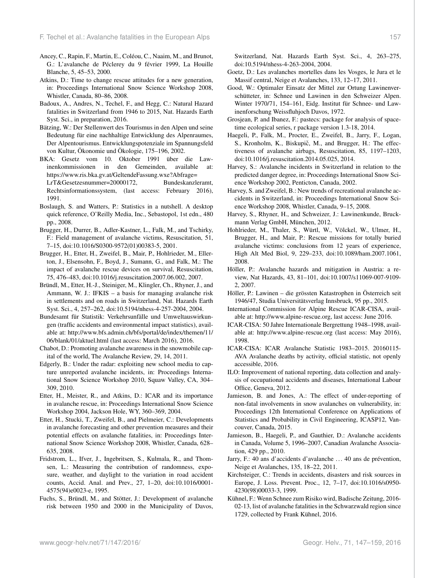- <span id="page-10-23"></span>Ancey, C., Rapin, F., Martin, E., Coléou, C., Naaim, M., and Brunot, G.: L'avalanche de Péclerey du 9 février 1999, La Houille Blanche, 5, 45–53, 2000.
- <span id="page-10-31"></span>Atkins, D.: Time to change rescue attitudes for a new generation, in: Proceedings International Snow Science Workshop 2008, Whistler, Canada, 80–86, 2008.
- <span id="page-10-18"></span>Badoux, A., Andres, N., Techel, F., and Hegg, C.: Natural Hazard fatalities in Switzerland from 1946 to 2015, Nat. Hazards Earth Syst. Sci., in preparation, 2016.
- <span id="page-10-21"></span>Bätzing, W.: Der Stellenwert des Tourismus in den Alpen und seine Bedeutung für eine nachhaltige Entwicklung des Alpenraumes, Der Alpentourismus. Entwicklungspotenziale im Spannungsfeld von Kultur, Ökonomie und Ökologie, 175–196, 2002.
- <span id="page-10-27"></span>BKA: Gesetz vom 10. Oktober 1991 über die Lawinenkommissionen in den Gemeinden, available at: [https://www.ris.bka.gv.at/GeltendeFassung.wxe?Abfrage=](https://www.ris.bka.gv.at/GeltendeFassung.wxe?Abfrage=LrT&Gesetzesnummer=20000172) [LrT&Gesetzesnummer=20000172,](https://www.ris.bka.gv.at/GeltendeFassung.wxe?Abfrage=LrT&Gesetzesnummer=20000172) Bundeskanzleramt, Rechtsinformationssystem, (last access: February 2016), 1991.
- <span id="page-10-19"></span>Boslaugh, S. and Watters, P.: Statistics in a nutshell. A desktop quick reference, O'Reilly Media, Inc., Sebastopol, 1st edn., 480 pp., 2008.
- <span id="page-10-2"></span>Brugger, H., Durrer, B., Adler-Kastner, L., Falk, M., and Tschirky, F.: Field management of avalanche victims, Resuscitation, 51, 7–15, doi[:10.1016/S0300-9572\(01\)00383-5,](http://dx.doi.org/10.1016/S0300-9572(01)00383-5) 2001.
- <span id="page-10-29"></span>Brugger, H., Etter, H., Zweifel, B., Mair, P., Hohlrieder, M., Ellerton, J., Elsensohn, F., Boyd, J., Sumann, G., and Falk, M.: The impact of avalanche rescue devices on survival, Resuscitation, 75, 476–483, doi[:10.1016/j.resuscitation.2007.06.002,](http://dx.doi.org/10.1016/j.resuscitation.2007.06.002) 2007.
- <span id="page-10-26"></span>Bründl, M., Etter, H.-J., Steiniger, M., Klingler, Ch., Rhyner, J., and Ammann, W. J.: IFKIS – a basis for managing avalanche risk in settlements and on roads in Switzerland, Nat. Hazards Earth Syst. Sci., 4, 257–262, doi[:10.5194/nhess-4-257-2004,](http://dx.doi.org/10.5194/nhess-4-257-2004) 2004.
- <span id="page-10-10"></span>Bundesamt für Statistik: Verkehrsunfälle und Umweltauswirkungen (traffic accidents and environmental impact statistics), available at: [http://www.bfs.admin.ch/bfs/portal/de/index/themen/11/](http://www.bfs.admin.ch/bfs/portal/de/index/themen/11/06/blank/01/aktuel.html) [06/blank/01/aktuel.html](http://www.bfs.admin.ch/bfs/portal/de/index/themen/11/06/blank/01/aktuel.html) (last access: March 2016), 2016.
- <span id="page-10-33"></span>Chabot, D.: Promoting avalanche awareness in the snowmobile capital of the world, The Avalanche Review, 29, 14, 2011.
- <span id="page-10-11"></span>Edgerly, B.: Under the radar: exploiting new school media to capture unreported avalanche incidents, in: Proceedings International Snow Science Workshop 2010, Squaw Valley, CA, 304– 309, 2010.
- <span id="page-10-13"></span>Etter, H., Meister, R., and Atkins, D.: ICAR and its importance in avalanche rescue, in: Proceedings International Snow Science Workshop 2004, Jackson Hole, WY, 360–369, 2004.
- <span id="page-10-4"></span>Etter, H., Stucki, T., Zweifel, B., and Pielmeier, C.: Developments in avalanche forecasting and other prevention measures and their potential effects on avalanche fatalities, in: Proceedings International Snow Science Workshop 2008, Whistler, Canada, 628– 635, 2008.
- <span id="page-10-9"></span>Fridstrom, L., Ifver, J., Ingebritsen, S., Kulmala, R., and Thomsen, L.: Measuring the contribution of randomness, exposure, weather, and daylight to the variation in road accident counts, Accid. Anal. and Prev., 27, 1–20, doi[:10.1016/0001-](http://dx.doi.org/10.1016/0001-4575(94)e0023-e) [4575\(94\)e0023-e,](http://dx.doi.org/10.1016/0001-4575(94)e0023-e) 1995.
- <span id="page-10-1"></span>Fuchs, S., Bründl, M., and Stötter, J.: Development of avalanche risk between 1950 and 2000 in the Municipality of Davos,

Switzerland, Nat. Hazards Earth Syst. Sci., 4, 263–275, doi[:10.5194/nhess-4-263-2004,](http://dx.doi.org/10.5194/nhess-4-263-2004) 2004.

- <span id="page-10-25"></span>Goetz, D.: Les avalanches mortelles dans les Vosges, le Jura et le Massif central, Neige et Avalanches, 133, 12–17, 2011.
- <span id="page-10-28"></span>Good, W.: Optimaler Einsatz der Mittel zur Ortung Lawinenverschütteter, in: Schnee und Lawinen in den Schweizer Alpen. Winter 1970/71, 154–161, Eidg. Institut für Schnee- und Lawinenforschung Weissfluhjoch Davos, 1972.
- <span id="page-10-20"></span>Grosjean, P. and Ibanez, F.: pastecs: package for analysis of spacetime ecological series, r package version 1.3-18, 2014.
- <span id="page-10-3"></span>Haegeli, P., Falk, M., Procter, E., Zweifel, B., Jarry, F., Logan, S., Kronholm, K., Biskupič, M., and Brugger, H.: The effectiveness of avalanche airbags, Resuscitation, 85, 1197–1203, doi[:10.1016/j.resuscitation.2014.05.025,](http://dx.doi.org/10.1016/j.resuscitation.2014.05.025) 2014.
- <span id="page-10-7"></span>Harvey, S.: Avalanche incidents in Switzerland in relation to the predicted danger degree, in: Proceedings International Snow Science Workshop 2002, Penticton, Canada, 2002.
- <span id="page-10-5"></span>Harvey, S. and Zweifel, B.: New trends of recreational avalanche accidents in Switzerland, in: Proceedings International Snow Science Workshop 2008, Whistler, Canada, 9–15, 2008.
- <span id="page-10-32"></span>Harvey, S., Rhyner, H., and Schweizer, J.: Lawinenkunde, Bruckmann Verlag GmbH, München, 2012.
- <span id="page-10-30"></span>Hohlrieder, M., Thaler, S., Würtl, W., Völckel, W., Ulmer, H., Brugger, H., and Mair, P.: Rescue missions for totally buried avalanche victims: conclusions from 12 years of experience, High Alt Med Biol, 9, 229–233, doi[:10.1089/ham.2007.1061,](http://dx.doi.org/10.1089/ham.2007.1061) 2008.
- <span id="page-10-0"></span>Höller, P.: Avalanche hazards and mitigation in Austria: a review, Nat Hazards, 43, 81–101, doi[:10.1007/s11069-007-9109-](http://dx.doi.org/10.1007/s11069-007-9109-2) [2,](http://dx.doi.org/10.1007/s11069-007-9109-2) 2007.
- <span id="page-10-17"></span>Höller, P.: Lawinen – die grössten Katastrophen in Österreich seit 1946/47, Studia Universitätsverlag Innsbruck, 95 pp., 2015.
- International Commission for Alpine Rescue ICAR-CISA, available at: [http://www.alpine-rescue.org,](http://www.alpine-rescue.org) last access: June 2016.
- <span id="page-10-22"></span>ICAR-CISA: 50 Jahre Internationale Bergrettung 1948–1998, available at: <http://www.alpine-rescue.org> (last access: May 2016), 1998.
- <span id="page-10-14"></span>ICAR-CISA: ICAR Avalanche Statistic 1983–2015. 20160115- AVA Avalanche deaths by activity, official statistic, not openly accessible, 2016.
- <span id="page-10-16"></span>ILO: Improvement of national reporting, data collection and analysis of occupational accidents and diseases, International Labour Office, Geneva, 2012.
- <span id="page-10-8"></span>Jamieson, B. and Jones, A.: The effect of under-reporting of non-fatal involvements in snow avalanches on vulnerability, in: Proceedings 12th International Conference on Applications of Statistics and Probability in Civil Engineering, ICASP12, Vancouver, Canada, 2015.
- <span id="page-10-6"></span>Jamieson, B., Haegeli, P., and Gauthier, D.: Avalanche accidents in Canada, Volume 5, 1996–2007, Canadian Avalanche Association, 429 pp., 2010.
- <span id="page-10-12"></span>Jarry, F.: 40 ans d'accidents d'avalanche ... 40 ans de prévention, Neige et Avalanches, 135, 18–22, 2011.
- <span id="page-10-15"></span>Kirchsteiger, C.: Trends in accidents, disasters and risk sources in Europe, J. Loss. Prevent. Proc., 12, 7–17, doi[:10.1016/s0950-](http://dx.doi.org/10.1016/s0950-4230(98)00033-3) [4230\(98\)00033-3,](http://dx.doi.org/10.1016/s0950-4230(98)00033-3) 1999.
- <span id="page-10-24"></span>Kühnel, F.: Wenn Schnee zum Risiko wird, Badische Zeitung, 2016- 02-13, list of avalanche fatalities in the Schwarzwald region since 1729, collected by Frank Kühnel, 2016.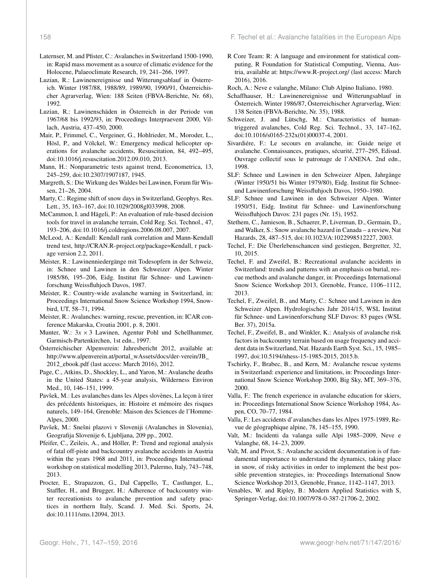- <span id="page-11-0"></span>Laternser, M. and Pfister, C.: Avalanches in Switzerland 1500-1990, in: Rapid mass movement as a source of climatic evidence for the Holocene, Palaeoclimate Research, 19, 241–266, 1997.
- <span id="page-11-14"></span>Luzian, R.: Lawinenereignisse und Witterungsablauf in Österreich. Winter 1987/88, 1988/89, 1989/90, 1990/91, Österreichischer Agrarverlag, Wien: 188 Seiten (FBVA-Berichte, Nr. 68), 1992.
- <span id="page-11-15"></span>Luzian, R.: Lawinenschäden in Österreich in der Periode von 1967/68 bis 1992/93, in: Proceedings Interpraevent 2000, Villach, Austria, 437–450, 2000.
- <span id="page-11-34"></span>Mair, P., Frimmel, C., Vergeiner, G., Hohlrieder, M., Moroder, L., Hösl, P., and Völckel, W.: Emergency medical helicopter operations for avalanche accidents, Resuscitation, 84, 492–495, doi[:10.1016/j.resuscitation.2012.09.010,](http://dx.doi.org/10.1016/j.resuscitation.2012.09.010) 2013.
- <span id="page-11-21"></span>Mann, H.: Nonparametric tests against trend, Econometrica, 13, 245–259, doi[:10.2307/1907187,](http://dx.doi.org/10.2307/1907187) 1945.
- <span id="page-11-1"></span>Margreth, S.: Die Wirkung des Waldes bei Lawinen, Forum für Wissen, 21–26, 2004.
- <span id="page-11-35"></span>Marty, C.: Regime shift of snow days in Switzerland, Geophys. Res. Lett., 35, 163–167, doi[:10.1029/2008gl033998,](http://dx.doi.org/10.1029/2008gl033998) 2008.
- <span id="page-11-5"></span>McCammon, I. and Hägeli, P.: An evaluation of rule-based decision tools for travel in avalanche terrain, Cold Reg. Sci. Technol., 47, 193–206, doi[:10.1016/j.coldregions.2006.08.007,](http://dx.doi.org/10.1016/j.coldregions.2006.08.007) 2007.
- <span id="page-11-22"></span>McLeod, A.: Kendall: Kendall rank correlation and Mann-Kendall trend test, [http://CRAN.R-project.org/package=Kendall,](http://CRAN.R-project.org/package=Kendall) r package version 2.2, 2011.
- <span id="page-11-9"></span>Meister, R.: Lawinenniedergänge mit Todesopfern in der Schweiz, in: Schnee und Lawinen in den Schweizer Alpen. Winter 1985/86, 195–206, Eidg. Institut für Schnee- und Lawinenforschung Weissfluhjoch Davos, 1987.
- <span id="page-11-25"></span>Meister, R.: Country-wide avalanche warning in Switzerland, in: Proceedings International Snow Science Workshop 1994, Snowbird, UT, 58–71, 1994.
- <span id="page-11-28"></span>Meister, R.: Avalanches: warning, rescue, prevention, in: ICAR conference Makarska, Croatia 2001, p. 8, 2001.
- <span id="page-11-4"></span>Munter, W.:  $3x \times 3$  Lawinen, Agentur Pohl und Schellhammer, Garmisch-Partenkirchen, 1st edn., 1997.
- <span id="page-11-32"></span>Österreichischer Alpenverein: Jahresbericht 2012, available at: [http://www.alpenverein.at/portal\\_wAssets/docs/der-verein/JB\\_](http://www.alpenverein.at/portal_wAssets/docs/der-verein/JB_2012_ebook.pdf) [2012\\_ebook.pdf](http://www.alpenverein.at/portal_wAssets/docs/der-verein/JB_2012_ebook.pdf) (last access: March 2016), 2012.
- <span id="page-11-11"></span>Page, C., Atkins, D., Shockley, L., and Yaron, M.: Avalanche deaths in the United States: a 45-year analysis, Wilderness Environ Med., 10, 146–151, 1999.
- <span id="page-11-26"></span>Pavšek, M.: Les avalanches dans les Alpes slovènes, La leçon à tirer des précédents historiques, in: Histoire et mémoire des risques naturels, 149–164, Grenoble: Maison des Sciences de l'Homme-Alpes, 2000.
- <span id="page-11-30"></span>Pavšek, M.: Snešni plazovi v Sloveniji (Avalanches in Slovenia), Geografija Slovenije 6, Ljubljana, 209 pp., 2002.
- <span id="page-11-29"></span>Pfeifer, C., Zeileis, A., and Höller, P.: Trend and regional analysis of fatal off-piste and backcountry avalanche accidents in Austria within the years 1968 and 2011, in: Proceedings International workshop on statistical modelling 2013, Palermo, Italy, 743–748, 2013.
- <span id="page-11-36"></span>Procter, E., Strapazzon, G., Dal Cappello, T., Castlunger, L., Staffler, H., and Brugger, H.: Adherence of backcountry winter recreationists to avalanche prevention and safety practices in northern Italy, Scand. J. Med. Sci. Sports, 24, doi[:10.1111/sms.12094,](http://dx.doi.org/10.1111/sms.12094) 2013.
- <span id="page-11-23"></span>R Core Team: R: A language and environment for statistical computing, R Foundation for Statistical Computing, Vienna, Austria, available at: <https://www.R-project.org/> (last access: March 2016), 2016.
- <span id="page-11-24"></span>Roch, A.: Neve e valanghe, Milano: Club Alpino Italiano, 1980.
- <span id="page-11-13"></span>Schaffhauser, H.: Lawinenereignisse und Witterungsablauf in Österreich. Winter 1986/87, Österreichischer Agrarverlag, Wien: 138 Seiten (FBVA-Berichte, Nr. 35), 1988.
- <span id="page-11-19"></span>Schweizer, J. and Lütschg, M.: Characteristics of humantriggered avalanches, Cold Reg. Sci. Technol., 33, 147–162, doi[:10.1016/s0165-232x\(01\)00037-4,](http://dx.doi.org/10.1016/s0165-232x(01)00037-4) 2001.
- <span id="page-11-12"></span>Sivardiére, F.: Le secours en avalanche, in: Guide neige et avalanche. Connaissances, pratiques, sécurité, 277–295, Edisud. Ouvrage collectif sous le patronage de l'ANENA. 2nd edn., 1998.
- <span id="page-11-16"></span>SLF: Schnee und Lawinen in den Schweizer Alpen, Jahrgänge (Winter 1950/51 bis Winter 1979/80), Eidg. Institut für Schneeund Lawinenforschung Weissfluhjoch Davos, 1950–1980.
- <span id="page-11-27"></span>SLF: Schnee und Lawinen in den Schweizer Alpen. Winter 1950/51, Eidg. Institut für Schnee- und Lawinenforschung Weissfluhjoch Davos: 231 pages (Nr. 15), 1952.
- <span id="page-11-18"></span>Stethem, C., Jamieson, B., Schaerer, P., Liverman, D., Germain, D., and Walker, S.: Snow avalanche hazard in Canada – a review, Nat Hazards, 28, 487–515, doi[:10.1023/A:1022998512227,](http://dx.doi.org/10.1023/A:1022998512227) 2003.
- <span id="page-11-33"></span>Techel, F.: Die Überlebenschancen sind gestiegen, Bergretter, 32, 10, 2015.
- <span id="page-11-10"></span>Techel, F. and Zweifel, B.: Recreational avalanche accidents in Switzerland: trends and patterns with an emphasis on burial, rescue methods and avalanche danger, in: Proceedings International Snow Science Workshop 2013, Grenoble, France, 1106–1112, 2013.
- <span id="page-11-8"></span>Techel, F., Zweifel, B., and Marty, C.: Schnee und Lawinen in den Schweizer Alpen. Hydrologisches Jahr 2014/15, WSL Institut für Schnee- und Lawinenforschung SLF Davos: 83 pages (WSL Ber. 37), 2015a.
- <span id="page-11-7"></span>Techel, F., Zweifel, B., and Winkler, K.: Analysis of avalanche risk factors in backcountry terrain based on usage frequency and accident data in Switzerland, Nat. Hazards Earth Syst. Sci., 15, 1985– 1997, doi[:10.5194/nhess-15-1985-2015,](http://dx.doi.org/10.5194/nhess-15-1985-2015) 2015.b.
- <span id="page-11-2"></span>Tschirky, F., Brabec, B., and Kern, M.: Avalanche rescue systems in Switzerland: experience and limitations, in: Proceedings International Snow Science Workshop 2000, Big Sky, MT, 369–376, 2000.
- <span id="page-11-17"></span>Valla, F.: The french experience in avalanche education for skiers, in: Proceedings International Snow Science Workshop 1984, Aspen, CO, 70–77, 1984.
- <span id="page-11-31"></span>Valla, F.: Les accidents d'avalanches dans les Alpes 1975-1989, Revue de géographique alpine, 78, 145–155, 1990.
- <span id="page-11-6"></span>Valt, M.: Incidenti da valanga sulle Alpi 1985–2009, Neve e Valanghe, 68, 14–23, 2009.
- <span id="page-11-3"></span>Valt, M. and Pivot, S.: Avalanche accident documentation is of fundamental importance to understand the dynamics, taking place in snow, of risky activities in order to implement the best possible prevention strategies, in: Proceedings International Snow Science Workshop 2013, Grenoble, France, 1142–1147, 2013.
- <span id="page-11-20"></span>Venables, W. and Ripley, B.: Modern Applied Statistics with S, Springer-Verlag, doi[:10.1007/978-0-387-21706-2,](http://dx.doi.org/10.1007/978-0-387-21706-2) 2002.